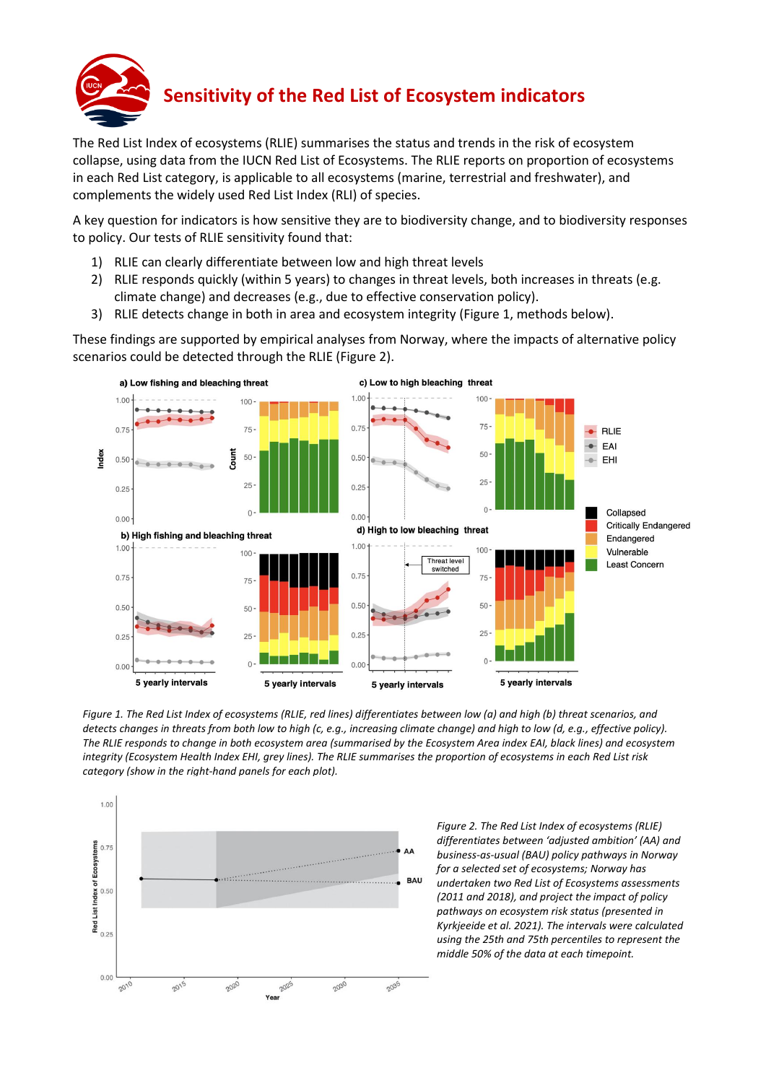

The Red List Index of ecosystems (RLIE) summarises the status and trends in the risk of ecosystem collapse, using data from the IUCN Red List of Ecosystems. The RLIE reports on proportion of ecosystems in each Red List category, is applicable to all ecosystems (marine, terrestrial and freshwater), and complements the widely used Red List Index (RLI) of species.

A key question for indicators is how sensitive they are to biodiversity change, and to biodiversity responses to policy. Our tests of RLIE sensitivity found that:

- 1) RLIE can clearly differentiate between low and high threat levels
- 2) RLIE responds quickly (within 5 years) to changes in threat levels, both increases in threats (e.g. climate change) and decreases (e.g., due to effective conservation policy).
- 3) RLIE detects change in both in area and ecosystem integrity (Figure 1, methods below).

These findings are supported by empirical analyses from Norway, where the impacts of alternative policy scenarios could be detected through the RLIE (Figure 2).



*Figure 1. The Red List Index of ecosystems (RLIE, red lines) differentiates between low (a) and high (b) threat scenarios, and detects changes in threats from both low to high (c, e.g., increasing climate change) and high to low (d, e.g., effective policy). The RLIE responds to change in both ecosystem area (summarised by the Ecosystem Area index EAI, black lines) and ecosystem integrity (Ecosystem Health Index EHI, grey lines). The RLIE summarises the proportion of ecosystems in each Red List risk category (show in the right-hand panels for each plot).*



*Figure 2. The Red List Index of ecosystems (RLIE) differentiates between 'adjusted ambition' (AA) and business-as-usual (BAU) policy pathways in Norway for a selected set of ecosystems; Norway has undertaken two Red List of Ecosystems assessments (2011 and 2018), and project the impact of policy pathways on ecosystem risk status (presented in Kyrkjeeide et al. 2021). The intervals were calculated using the 25th and 75th percentiles to represent the middle 50% of the data at each timepoint.*